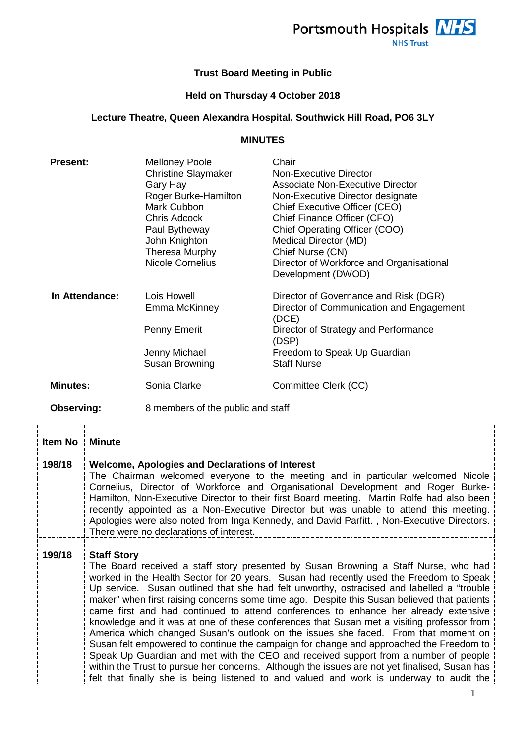

## **Trust Board Meeting in Public**

## **Held on Thursday 4 October 2018**

## **Lecture Theatre, Queen Alexandra Hospital, Southwick Hill Road, PO6 3LY**

## **MINUTES**

| <b>Present:</b> | <b>Melloney Poole</b><br><b>Christine Slaymaker</b><br>Gary Hay<br>Roger Burke-Hamilton<br>Mark Cubbon<br>Chris Adcock<br>Paul Bytheway<br>John Knighton<br><b>Theresa Murphy</b><br><b>Nicole Cornelius</b> | Chair<br>Non-Executive Director<br><b>Associate Non-Executive Director</b><br>Non-Executive Director designate<br>Chief Executive Officer (CEO)<br>Chief Finance Officer (CFO)<br>Chief Operating Officer (COO)<br>Medical Director (MD)<br>Chief Nurse (CN)<br>Director of Workforce and Organisational<br>Development (DWOD) |
|-----------------|--------------------------------------------------------------------------------------------------------------------------------------------------------------------------------------------------------------|--------------------------------------------------------------------------------------------------------------------------------------------------------------------------------------------------------------------------------------------------------------------------------------------------------------------------------|
| In Attendance:  | Lois Howell<br>Emma McKinney<br>Penny Emerit<br>Jenny Michael<br>Susan Browning                                                                                                                              | Director of Governance and Risk (DGR)<br>Director of Communication and Engagement<br>(DCE)<br>Director of Strategy and Performance<br>(DSP)<br>Freedom to Speak Up Guardian<br><b>Staff Nurse</b>                                                                                                                              |
| <b>Minutes:</b> | Sonia Clarke                                                                                                                                                                                                 | Committee Clerk (CC)                                                                                                                                                                                                                                                                                                           |
| Observing:      | 8 members of the public and staff                                                                                                                                                                            |                                                                                                                                                                                                                                                                                                                                |

| Item No | <b>Minute</b>                                                                                                                                                                                                                                                                                                                                                                                                                                                                                                                                                                                                                                                                                                                                                                                                                                                                                                                                                                                                                                          |
|---------|--------------------------------------------------------------------------------------------------------------------------------------------------------------------------------------------------------------------------------------------------------------------------------------------------------------------------------------------------------------------------------------------------------------------------------------------------------------------------------------------------------------------------------------------------------------------------------------------------------------------------------------------------------------------------------------------------------------------------------------------------------------------------------------------------------------------------------------------------------------------------------------------------------------------------------------------------------------------------------------------------------------------------------------------------------|
| 198/18  | <b>Welcome, Apologies and Declarations of Interest</b><br>The Chairman welcomed everyone to the meeting and in particular welcomed Nicole<br>Cornelius, Director of Workforce and Organisational Development and Roger Burke-<br>Hamilton, Non-Executive Director to their first Board meeting. Martin Rolfe had also been<br>recently appointed as a Non-Executive Director but was unable to attend this meeting.<br>Apologies were also noted from Inga Kennedy, and David Parfitt., Non-Executive Directors.<br>There were no declarations of interest.                                                                                                                                                                                                                                                                                                                                                                                                                                                                                            |
| 199/18  | <b>Staff Story</b><br>The Board received a staff story presented by Susan Browning a Staff Nurse, who had<br>worked in the Health Sector for 20 years. Susan had recently used the Freedom to Speak<br>Up service. Susan outlined that she had felt unworthy, ostracised and labelled a "trouble<br>maker" when first raising concerns some time ago. Despite this Susan believed that patients<br>came first and had continued to attend conferences to enhance her already extensive<br>knowledge and it was at one of these conferences that Susan met a visiting professor from<br>America which changed Susan's outlook on the issues she faced. From that moment on<br>Susan felt empowered to continue the campaign for change and approached the Freedom to<br>Speak Up Guardian and met with the CEO and received support from a number of people<br>within the Trust to pursue her concerns. Although the issues are not yet finalised, Susan has<br>felt that finally she is being listened to and valued and work is underway to audit the |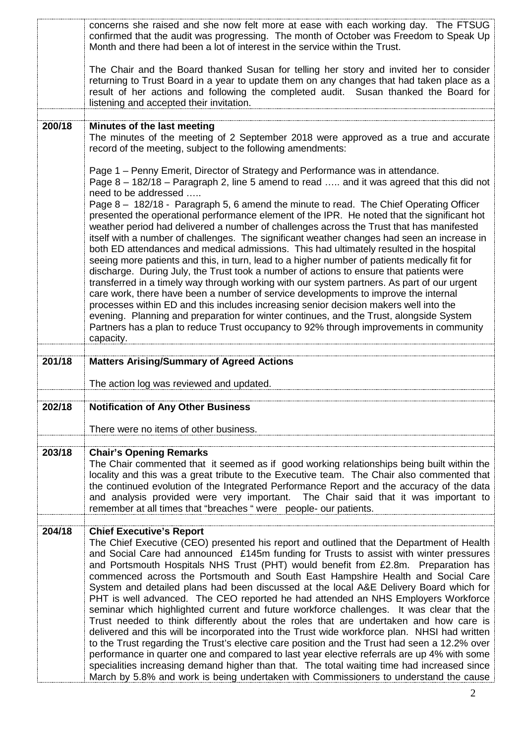|        | concerns she raised and she now felt more at ease with each working day. The FTSUG<br>confirmed that the audit was progressing. The month of October was Freedom to Speak Up<br>Month and there had been a lot of interest in the service within the Trust.                                                                                                                                                                                                                                                                                                                                                                                                                                                                                                                                                                                                                                                                                                                                                                                                                                                                                                                                                                                                                                                                                                     |
|--------|-----------------------------------------------------------------------------------------------------------------------------------------------------------------------------------------------------------------------------------------------------------------------------------------------------------------------------------------------------------------------------------------------------------------------------------------------------------------------------------------------------------------------------------------------------------------------------------------------------------------------------------------------------------------------------------------------------------------------------------------------------------------------------------------------------------------------------------------------------------------------------------------------------------------------------------------------------------------------------------------------------------------------------------------------------------------------------------------------------------------------------------------------------------------------------------------------------------------------------------------------------------------------------------------------------------------------------------------------------------------|
|        | The Chair and the Board thanked Susan for telling her story and invited her to consider<br>returning to Trust Board in a year to update them on any changes that had taken place as a<br>result of her actions and following the completed audit. Susan thanked the Board for<br>listening and accepted their invitation.                                                                                                                                                                                                                                                                                                                                                                                                                                                                                                                                                                                                                                                                                                                                                                                                                                                                                                                                                                                                                                       |
| 200/18 | Minutes of the last meeting                                                                                                                                                                                                                                                                                                                                                                                                                                                                                                                                                                                                                                                                                                                                                                                                                                                                                                                                                                                                                                                                                                                                                                                                                                                                                                                                     |
|        | The minutes of the meeting of 2 September 2018 were approved as a true and accurate<br>record of the meeting, subject to the following amendments:                                                                                                                                                                                                                                                                                                                                                                                                                                                                                                                                                                                                                                                                                                                                                                                                                                                                                                                                                                                                                                                                                                                                                                                                              |
|        | Page 1 – Penny Emerit, Director of Strategy and Performance was in attendance.<br>Page 8 - 182/18 - Paragraph 2, line 5 amend to read  and it was agreed that this did not<br>need to be addressed<br>Page 8 - 182/18 - Paragraph 5, 6 amend the minute to read. The Chief Operating Officer<br>presented the operational performance element of the IPR. He noted that the significant hot<br>weather period had delivered a number of challenges across the Trust that has manifested<br>itself with a number of challenges. The significant weather changes had seen an increase in<br>both ED attendances and medical admissions. This had ultimately resulted in the hospital<br>seeing more patients and this, in turn, lead to a higher number of patients medically fit for<br>discharge. During July, the Trust took a number of actions to ensure that patients were<br>transferred in a timely way through working with our system partners. As part of our urgent<br>care work, there have been a number of service developments to improve the internal<br>processes within ED and this includes increasing senior decision makers well into the<br>evening. Planning and preparation for winter continues, and the Trust, alongside System<br>Partners has a plan to reduce Trust occupancy to 92% through improvements in community<br>capacity. |
| 201/18 | <b>Matters Arising/Summary of Agreed Actions</b>                                                                                                                                                                                                                                                                                                                                                                                                                                                                                                                                                                                                                                                                                                                                                                                                                                                                                                                                                                                                                                                                                                                                                                                                                                                                                                                |
|        | The action log was reviewed and updated.                                                                                                                                                                                                                                                                                                                                                                                                                                                                                                                                                                                                                                                                                                                                                                                                                                                                                                                                                                                                                                                                                                                                                                                                                                                                                                                        |
|        |                                                                                                                                                                                                                                                                                                                                                                                                                                                                                                                                                                                                                                                                                                                                                                                                                                                                                                                                                                                                                                                                                                                                                                                                                                                                                                                                                                 |
| 202/18 | <b>Notification of Any Other Business</b>                                                                                                                                                                                                                                                                                                                                                                                                                                                                                                                                                                                                                                                                                                                                                                                                                                                                                                                                                                                                                                                                                                                                                                                                                                                                                                                       |
|        | There were no items of other business.                                                                                                                                                                                                                                                                                                                                                                                                                                                                                                                                                                                                                                                                                                                                                                                                                                                                                                                                                                                                                                                                                                                                                                                                                                                                                                                          |
| 203/18 | <b>Chair's Opening Remarks</b><br>The Chair commented that it seemed as if good working relationships being built within the<br>locality and this was a great tribute to the Executive team. The Chair also commented that<br>the continued evolution of the Integrated Performance Report and the accuracy of the data<br>and analysis provided were very important. The Chair said that it was important to<br>remember at all times that "breaches " were people- our patients.                                                                                                                                                                                                                                                                                                                                                                                                                                                                                                                                                                                                                                                                                                                                                                                                                                                                              |
| 204/18 | <b>Chief Executive's Report</b><br>The Chief Executive (CEO) presented his report and outlined that the Department of Health<br>and Social Care had announced £145m funding for Trusts to assist with winter pressures<br>and Portsmouth Hospitals NHS Trust (PHT) would benefit from £2.8m. Preparation has<br>commenced across the Portsmouth and South East Hampshire Health and Social Care<br>System and detailed plans had been discussed at the local A&E Delivery Board which for<br>PHT is well advanced. The CEO reported he had attended an NHS Employers Workforce<br>seminar which highlighted current and future workforce challenges. It was clear that the<br>Trust needed to think differently about the roles that are undertaken and how care is<br>delivered and this will be incorporated into the Trust wide workforce plan. NHSI had written                                                                                                                                                                                                                                                                                                                                                                                                                                                                                             |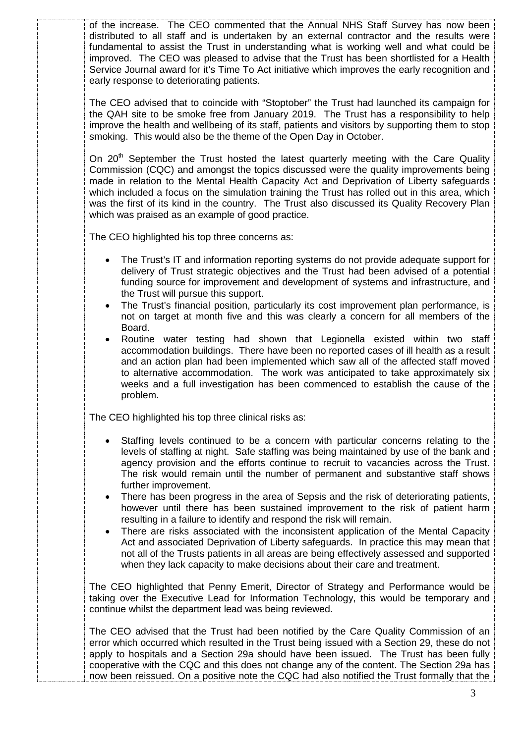of the increase. The CEO commented that the Annual NHS Staff Survey has now been distributed to all staff and is undertaken by an external contractor and the results were fundamental to assist the Trust in understanding what is working well and what could be improved. The CEO was pleased to advise that the Trust has been shortlisted for a Health Service Journal award for it's Time To Act initiative which improves the early recognition and early response to deteriorating patients.

The CEO advised that to coincide with "Stoptober" the Trust had launched its campaign for the QAH site to be smoke free from January 2019. The Trust has a responsibility to help improve the health and wellbeing of its staff, patients and visitors by supporting them to stop smoking. This would also be the theme of the Open Day in October.

On 20<sup>th</sup> September the Trust hosted the latest quarterly meeting with the Care Quality Commission (CQC) and amongst the topics discussed were the quality improvements being made in relation to the Mental Health Capacity Act and Deprivation of Liberty safeguards which included a focus on the simulation training the Trust has rolled out in this area, which was the first of its kind in the country. The Trust also discussed its Quality Recovery Plan which was praised as an example of good practice.

The CEO highlighted his top three concerns as:

- The Trust's IT and information reporting systems do not provide adequate support for delivery of Trust strategic objectives and the Trust had been advised of a potential funding source for improvement and development of systems and infrastructure, and the Trust will pursue this support.
- The Trust's financial position, particularly its cost improvement plan performance, is not on target at month five and this was clearly a concern for all members of the Board.
- Routine water testing had shown that Legionella existed within two staff accommodation buildings. There have been no reported cases of ill health as a result and an action plan had been implemented which saw all of the affected staff moved to alternative accommodation. The work was anticipated to take approximately six weeks and a full investigation has been commenced to establish the cause of the problem.

The CEO highlighted his top three clinical risks as:

- Staffing levels continued to be a concern with particular concerns relating to the levels of staffing at night. Safe staffing was being maintained by use of the bank and agency provision and the efforts continue to recruit to vacancies across the Trust. The risk would remain until the number of permanent and substantive staff shows further improvement.
- There has been progress in the area of Sepsis and the risk of deteriorating patients, however until there has been sustained improvement to the risk of patient harm resulting in a failure to identify and respond the risk will remain.
- There are risks associated with the inconsistent application of the Mental Capacity Act and associated Deprivation of Liberty safeguards. In practice this may mean that not all of the Trusts patients in all areas are being effectively assessed and supported when they lack capacity to make decisions about their care and treatment.

The CEO highlighted that Penny Emerit, Director of Strategy and Performance would be taking over the Executive Lead for Information Technology, this would be temporary and continue whilst the department lead was being reviewed.

The CEO advised that the Trust had been notified by the Care Quality Commission of an error which occurred which resulted in the Trust being issued with a Section 29, these do not apply to hospitals and a Section 29a should have been issued. The Trust has been fully cooperative with the CQC and this does not change any of the content. The Section 29a has now been reissued. On a positive note the CQC had also notified the Trust formally that the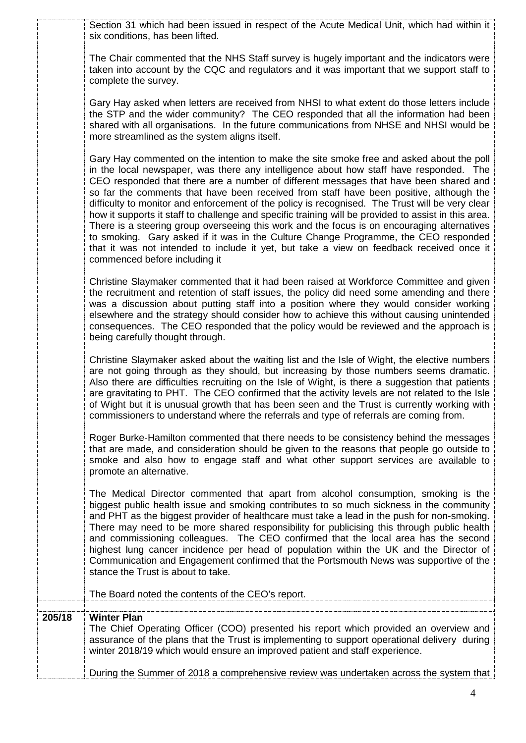|        | Section 31 which had been issued in respect of the Acute Medical Unit, which had within it<br>six conditions, has been lifted.                                                                                                                                                                                                                                                                                                                                                                                                                                                                                                                                                                                                                                                                                                                                                                       |
|--------|------------------------------------------------------------------------------------------------------------------------------------------------------------------------------------------------------------------------------------------------------------------------------------------------------------------------------------------------------------------------------------------------------------------------------------------------------------------------------------------------------------------------------------------------------------------------------------------------------------------------------------------------------------------------------------------------------------------------------------------------------------------------------------------------------------------------------------------------------------------------------------------------------|
|        | The Chair commented that the NHS Staff survey is hugely important and the indicators were<br>taken into account by the CQC and regulators and it was important that we support staff to<br>complete the survey.                                                                                                                                                                                                                                                                                                                                                                                                                                                                                                                                                                                                                                                                                      |
|        | Gary Hay asked when letters are received from NHSI to what extent do those letters include<br>the STP and the wider community? The CEO responded that all the information had been<br>shared with all organisations. In the future communications from NHSE and NHSI would be<br>more streamlined as the system aligns itself.                                                                                                                                                                                                                                                                                                                                                                                                                                                                                                                                                                       |
|        | Gary Hay commented on the intention to make the site smoke free and asked about the poll<br>in the local newspaper, was there any intelligence about how staff have responded. The<br>CEO responded that there are a number of different messages that have been shared and<br>so far the comments that have been received from staff have been positive, although the<br>difficulty to monitor and enforcement of the policy is recognised. The Trust will be very clear<br>how it supports it staff to challenge and specific training will be provided to assist in this area.<br>There is a steering group overseeing this work and the focus is on encouraging alternatives<br>to smoking. Gary asked if it was in the Culture Change Programme, the CEO responded<br>that it was not intended to include it yet, but take a view on feedback received once it<br>commenced before including it |
|        | Christine Slaymaker commented that it had been raised at Workforce Committee and given<br>the recruitment and retention of staff issues, the policy did need some amending and there<br>was a discussion about putting staff into a position where they would consider working<br>elsewhere and the strategy should consider how to achieve this without causing unintended<br>consequences. The CEO responded that the policy would be reviewed and the approach is<br>being carefully thought through.                                                                                                                                                                                                                                                                                                                                                                                             |
|        | Christine Slaymaker asked about the waiting list and the Isle of Wight, the elective numbers<br>are not going through as they should, but increasing by those numbers seems dramatic.<br>Also there are difficulties recruiting on the Isle of Wight, is there a suggestion that patients<br>are gravitating to PHT. The CEO confirmed that the activity levels are not related to the Isle<br>of Wight but it is unusual growth that has been seen and the Trust is currently working with<br>commissioners to understand where the referrals and type of referrals are coming from.                                                                                                                                                                                                                                                                                                                |
|        | Roger Burke-Hamilton commented that there needs to be consistency behind the messages<br>that are made, and consideration should be given to the reasons that people go outside to<br>smoke and also how to engage staff and what other support services are available to<br>promote an alternative.                                                                                                                                                                                                                                                                                                                                                                                                                                                                                                                                                                                                 |
|        | The Medical Director commented that apart from alcohol consumption, smoking is the<br>biggest public health issue and smoking contributes to so much sickness in the community<br>and PHT as the biggest provider of healthcare must take a lead in the push for non-smoking.<br>There may need to be more shared responsibility for publicising this through public health<br>and commissioning colleagues. The CEO confirmed that the local area has the second<br>highest lung cancer incidence per head of population within the UK and the Director of<br>Communication and Engagement confirmed that the Portsmouth News was supportive of the<br>stance the Trust is about to take.                                                                                                                                                                                                           |
|        | The Board noted the contents of the CEO's report.                                                                                                                                                                                                                                                                                                                                                                                                                                                                                                                                                                                                                                                                                                                                                                                                                                                    |
| 205/18 | <b>Winter Plan</b><br>The Chief Operating Officer (COO) presented his report which provided an overview and<br>assurance of the plans that the Trust is implementing to support operational delivery during<br>winter 2018/19 which would ensure an improved patient and staff experience.                                                                                                                                                                                                                                                                                                                                                                                                                                                                                                                                                                                                           |
|        | During the Summer of 2018 a comprehensive review was undertaken across the system that                                                                                                                                                                                                                                                                                                                                                                                                                                                                                                                                                                                                                                                                                                                                                                                                               |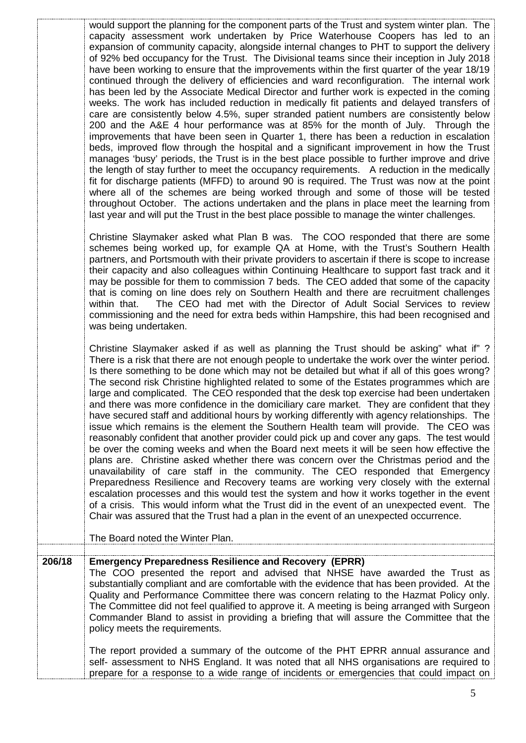|        | would support the planning for the component parts of the Trust and system winter plan. The<br>capacity assessment work undertaken by Price Waterhouse Coopers has led to an<br>expansion of community capacity, alongside internal changes to PHT to support the delivery<br>of 92% bed occupancy for the Trust. The Divisional teams since their inception in July 2018<br>have been working to ensure that the improvements within the first quarter of the year 18/19<br>continued through the delivery of efficiencies and ward reconfiguration. The internal work<br>has been led by the Associate Medical Director and further work is expected in the coming<br>weeks. The work has included reduction in medically fit patients and delayed transfers of<br>care are consistently below 4.5%, super stranded patient numbers are consistently below<br>200 and the A&E 4 hour performance was at 85% for the month of July. Through the<br>improvements that have been seen in Quarter 1, there has been a reduction in escalation<br>beds, improved flow through the hospital and a significant improvement in how the Trust<br>manages 'busy' periods, the Trust is in the best place possible to further improve and drive<br>the length of stay further to meet the occupancy requirements.  A reduction in the medically<br>fit for discharge patients (MFFD) to around 90 is required. The Trust was now at the point<br>where all of the schemes are being worked through and some of those will be tested<br>throughout October. The actions undertaken and the plans in place meet the learning from<br>last year and will put the Trust in the best place possible to manage the winter challenges.<br>Christine Slaymaker asked what Plan B was. The COO responded that there are some<br>schemes being worked up, for example QA at Home, with the Trust's Southern Health<br>partners, and Portsmouth with their private providers to ascertain if there is scope to increase<br>their capacity and also colleagues within Continuing Healthcare to support fast track and it<br>may be possible for them to commission 7 beds. The CEO added that some of the capacity<br>that is coming on line does rely on Southern Health and there are recruitment challenges<br>The CEO had met with the Director of Adult Social Services to review<br>within that.<br>commissioning and the need for extra beds within Hampshire, this had been recognised and |
|--------|-------------------------------------------------------------------------------------------------------------------------------------------------------------------------------------------------------------------------------------------------------------------------------------------------------------------------------------------------------------------------------------------------------------------------------------------------------------------------------------------------------------------------------------------------------------------------------------------------------------------------------------------------------------------------------------------------------------------------------------------------------------------------------------------------------------------------------------------------------------------------------------------------------------------------------------------------------------------------------------------------------------------------------------------------------------------------------------------------------------------------------------------------------------------------------------------------------------------------------------------------------------------------------------------------------------------------------------------------------------------------------------------------------------------------------------------------------------------------------------------------------------------------------------------------------------------------------------------------------------------------------------------------------------------------------------------------------------------------------------------------------------------------------------------------------------------------------------------------------------------------------------------------------------------------------------------------------------------------------------------------------------------------------------------------------------------------------------------------------------------------------------------------------------------------------------------------------------------------------------------------------------------------------------------------------------------------------------------------------------------------------------------------------------------------------------------------------------------------------|
|        | was being undertaken.<br>Christine Slaymaker asked if as well as planning the Trust should be asking" what if"?<br>There is a risk that there are not enough people to undertake the work over the winter period.<br>Is there something to be done which may not be detailed but what if all of this goes wrong?<br>The second risk Christine highlighted related to some of the Estates programmes which are<br>large and complicated. The CEO responded that the desk top exercise had been undertaken<br>and there was more confidence in the domiciliary care market. They are confident that they<br>have secured staff and additional hours by working differently with agency relationships. The<br>issue which remains is the element the Southern Health team will provide. The CEO was<br>reasonably confident that another provider could pick up and cover any gaps. The test would<br>be over the coming weeks and when the Board next meets it will be seen how effective the<br>plans are. Christine asked whether there was concern over the Christmas period and the<br>unavailability of care staff in the community. The CEO responded that Emergency<br>Preparedness Resilience and Recovery teams are working very closely with the external<br>escalation processes and this would test the system and how it works together in the event<br>of a crisis. This would inform what the Trust did in the event of an unexpected event. The<br>Chair was assured that the Trust had a plan in the event of an unexpected occurrence.<br>The Board noted the Winter Plan.                                                                                                                                                                                                                                                                                                                                                                                                                                                                                                                                                                                                                                                                                                                                                                                                                                                                                    |
| 206/18 | <b>Emergency Preparedness Resilience and Recovery (EPRR)</b>                                                                                                                                                                                                                                                                                                                                                                                                                                                                                                                                                                                                                                                                                                                                                                                                                                                                                                                                                                                                                                                                                                                                                                                                                                                                                                                                                                                                                                                                                                                                                                                                                                                                                                                                                                                                                                                                                                                                                                                                                                                                                                                                                                                                                                                                                                                                                                                                                  |
|        | The COO presented the report and advised that NHSE have awarded the Trust as<br>substantially compliant and are comfortable with the evidence that has been provided. At the<br>Quality and Performance Committee there was concern relating to the Hazmat Policy only.<br>The Committee did not feel qualified to approve it. A meeting is being arranged with Surgeon<br>Commander Bland to assist in providing a briefing that will assure the Committee that the<br>policy meets the requirements.                                                                                                                                                                                                                                                                                                                                                                                                                                                                                                                                                                                                                                                                                                                                                                                                                                                                                                                                                                                                                                                                                                                                                                                                                                                                                                                                                                                                                                                                                                                                                                                                                                                                                                                                                                                                                                                                                                                                                                        |
|        | The report provided a summary of the outcome of the PHT EPRR annual assurance and<br>self- assessment to NHS England. It was noted that all NHS organisations are required to<br>prepare for a response to a wide range of incidents or emergencies that could impact on                                                                                                                                                                                                                                                                                                                                                                                                                                                                                                                                                                                                                                                                                                                                                                                                                                                                                                                                                                                                                                                                                                                                                                                                                                                                                                                                                                                                                                                                                                                                                                                                                                                                                                                                                                                                                                                                                                                                                                                                                                                                                                                                                                                                      |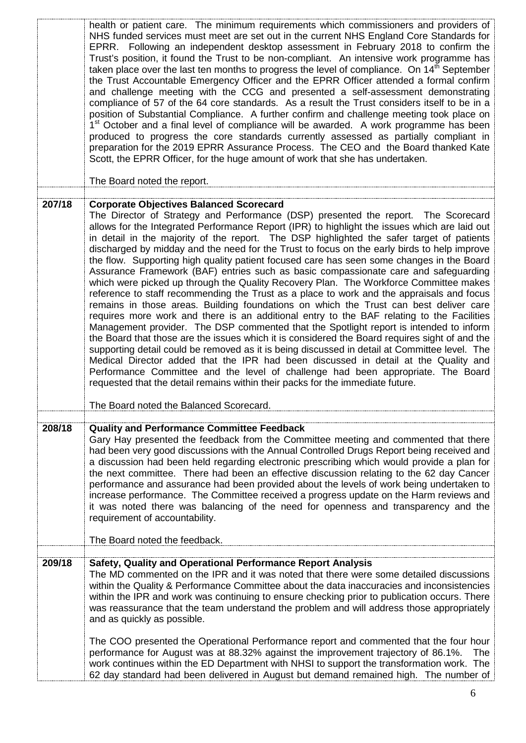|        | health or patient care. The minimum requirements which commissioners and providers of<br>NHS funded services must meet are set out in the current NHS England Core Standards for<br>EPRR. Following an independent desktop assessment in February 2018 to confirm the<br>Trust's position, it found the Trust to be non-compliant. An intensive work programme has<br>taken place over the last ten months to progress the level of compliance. On $14th$ September<br>the Trust Accountable Emergency Officer and the EPRR Officer attended a formal confirm<br>and challenge meeting with the CCG and presented a self-assessment demonstrating<br>compliance of 57 of the 64 core standards. As a result the Trust considers itself to be in a<br>position of Substantial Compliance. A further confirm and challenge meeting took place on<br>1 <sup>st</sup> October and a final level of compliance will be awarded. A work programme has been<br>produced to progress the core standards currently assessed as partially compliant in<br>preparation for the 2019 EPRR Assurance Process. The CEO and the Board thanked Kate<br>Scott, the EPRR Officer, for the huge amount of work that she has undertaken.<br>The Board noted the report.                                                                                                                                                                                                                                                                                                                                                    |
|--------|--------------------------------------------------------------------------------------------------------------------------------------------------------------------------------------------------------------------------------------------------------------------------------------------------------------------------------------------------------------------------------------------------------------------------------------------------------------------------------------------------------------------------------------------------------------------------------------------------------------------------------------------------------------------------------------------------------------------------------------------------------------------------------------------------------------------------------------------------------------------------------------------------------------------------------------------------------------------------------------------------------------------------------------------------------------------------------------------------------------------------------------------------------------------------------------------------------------------------------------------------------------------------------------------------------------------------------------------------------------------------------------------------------------------------------------------------------------------------------------------------------------------------------------------------------------------------------------------------------|
|        |                                                                                                                                                                                                                                                                                                                                                                                                                                                                                                                                                                                                                                                                                                                                                                                                                                                                                                                                                                                                                                                                                                                                                                                                                                                                                                                                                                                                                                                                                                                                                                                                        |
| 207/18 | <b>Corporate Objectives Balanced Scorecard</b><br>The Director of Strategy and Performance (DSP) presented the report. The Scorecard<br>allows for the Integrated Performance Report (IPR) to highlight the issues which are laid out<br>in detail in the majority of the report. The DSP highlighted the safer target of patients<br>discharged by midday and the need for the Trust to focus on the early birds to help improve<br>the flow. Supporting high quality patient focused care has seen some changes in the Board<br>Assurance Framework (BAF) entries such as basic compassionate care and safeguarding<br>which were picked up through the Quality Recovery Plan. The Workforce Committee makes<br>reference to staff recommending the Trust as a place to work and the appraisals and focus<br>remains in those areas. Building foundations on which the Trust can best deliver care<br>requires more work and there is an additional entry to the BAF relating to the Facilities<br>Management provider. The DSP commented that the Spotlight report is intended to inform<br>the Board that those are the issues which it is considered the Board requires sight of and the<br>supporting detail could be removed as it is being discussed in detail at Committee level. The<br>Medical Director added that the IPR had been discussed in detail at the Quality and<br>Performance Committee and the level of challenge had been appropriate. The Board<br>requested that the detail remains within their packs for the immediate future.<br>The Board noted the Balanced Scorecard. |
|        |                                                                                                                                                                                                                                                                                                                                                                                                                                                                                                                                                                                                                                                                                                                                                                                                                                                                                                                                                                                                                                                                                                                                                                                                                                                                                                                                                                                                                                                                                                                                                                                                        |
| 208/18 | <b>Quality and Performance Committee Feedback</b><br>Gary Hay presented the feedback from the Committee meeting and commented that there<br>had been very good discussions with the Annual Controlled Drugs Report being received and<br>a discussion had been held regarding electronic prescribing which would provide a plan for<br>the next committee. There had been an effective discussion relating to the 62 day Cancer<br>performance and assurance had been provided about the levels of work being undertaken to<br>increase performance. The Committee received a progress update on the Harm reviews and<br>it was noted there was balancing of the need for openness and transparency and the<br>requirement of accountability.                                                                                                                                                                                                                                                                                                                                                                                                                                                                                                                                                                                                                                                                                                                                                                                                                                                          |
|        | The Board noted the feedback.                                                                                                                                                                                                                                                                                                                                                                                                                                                                                                                                                                                                                                                                                                                                                                                                                                                                                                                                                                                                                                                                                                                                                                                                                                                                                                                                                                                                                                                                                                                                                                          |
| 209/18 | Safety, Quality and Operational Performance Report Analysis<br>The MD commented on the IPR and it was noted that there were some detailed discussions<br>within the Quality & Performance Committee about the data inaccuracies and inconsistencies<br>within the IPR and work was continuing to ensure checking prior to publication occurs. There<br>was reassurance that the team understand the problem and will address those appropriately<br>and as quickly as possible.                                                                                                                                                                                                                                                                                                                                                                                                                                                                                                                                                                                                                                                                                                                                                                                                                                                                                                                                                                                                                                                                                                                        |
|        | The COO presented the Operational Performance report and commented that the four hour<br>performance for August was at 88.32% against the improvement trajectory of 86.1%.<br><b>The</b><br>work continues within the ED Department with NHSI to support the transformation work. The<br>62 day standard had been delivered in August but demand remained high. The number of                                                                                                                                                                                                                                                                                                                                                                                                                                                                                                                                                                                                                                                                                                                                                                                                                                                                                                                                                                                                                                                                                                                                                                                                                          |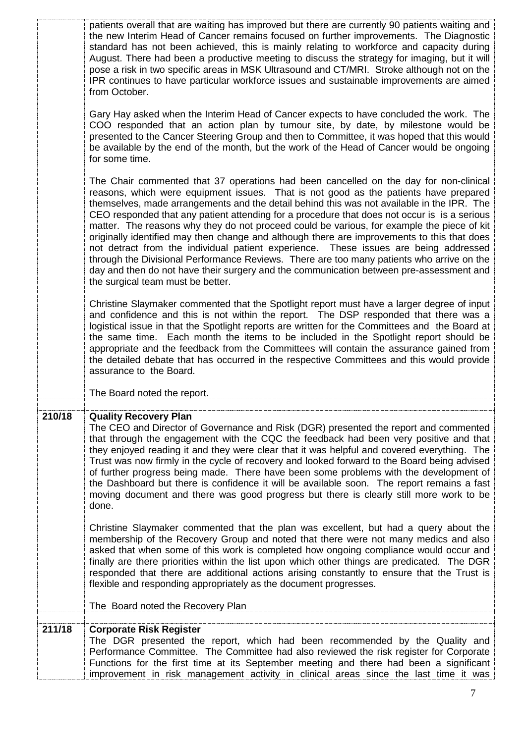|        | patients overall that are waiting has improved but there are currently 90 patients waiting and<br>the new Interim Head of Cancer remains focused on further improvements. The Diagnostic<br>standard has not been achieved, this is mainly relating to workforce and capacity during<br>August. There had been a productive meeting to discuss the strategy for imaging, but it will<br>pose a risk in two specific areas in MSK Ultrasound and CT/MRI. Stroke although not on the<br>IPR continues to have particular workforce issues and sustainable improvements are aimed<br>from October.                                                                                                                                                                                                                                                                                               |
|--------|-----------------------------------------------------------------------------------------------------------------------------------------------------------------------------------------------------------------------------------------------------------------------------------------------------------------------------------------------------------------------------------------------------------------------------------------------------------------------------------------------------------------------------------------------------------------------------------------------------------------------------------------------------------------------------------------------------------------------------------------------------------------------------------------------------------------------------------------------------------------------------------------------|
|        | Gary Hay asked when the Interim Head of Cancer expects to have concluded the work. The<br>COO responded that an action plan by tumour site, by date, by milestone would be<br>presented to the Cancer Steering Group and then to Committee, it was hoped that this would<br>be available by the end of the month, but the work of the Head of Cancer would be ongoing<br>for some time.                                                                                                                                                                                                                                                                                                                                                                                                                                                                                                       |
|        | The Chair commented that 37 operations had been cancelled on the day for non-clinical<br>reasons, which were equipment issues. That is not good as the patients have prepared<br>themselves, made arrangements and the detail behind this was not available in the IPR. The<br>CEO responded that any patient attending for a procedure that does not occur is is a serious<br>matter. The reasons why they do not proceed could be various, for example the piece of kit<br>originally identified may then change and although there are improvements to this that does<br>not detract from the individual patient experience. These issues are being addressed<br>through the Divisional Performance Reviews. There are too many patients who arrive on the<br>day and then do not have their surgery and the communication between pre-assessment and<br>the surgical team must be better. |
|        | Christine Slaymaker commented that the Spotlight report must have a larger degree of input<br>and confidence and this is not within the report. The DSP responded that there was a<br>logistical issue in that the Spotlight reports are written for the Committees and the Board at<br>the same time. Each month the items to be included in the Spotlight report should be<br>appropriate and the feedback from the Committees will contain the assurance gained from<br>the detailed debate that has occurred in the respective Committees and this would provide<br>assurance to the Board.                                                                                                                                                                                                                                                                                               |
|        | The Board noted the report.                                                                                                                                                                                                                                                                                                                                                                                                                                                                                                                                                                                                                                                                                                                                                                                                                                                                   |
| 210/18 | <b>Quality Recovery Plan</b><br>The CEO and Director of Governance and Risk (DGR) presented the report and commented<br>that through the engagement with the CQC the feedback had been very positive and that<br>they enjoyed reading it and they were clear that it was helpful and covered everything. The<br>Trust was now firmly in the cycle of recovery and looked forward to the Board being advised<br>of further progress being made. There have been some problems with the development of<br>the Dashboard but there is confidence it will be available soon. The report remains a fast<br>moving document and there was good progress but there is clearly still more work to be<br>done.                                                                                                                                                                                         |
|        | Christine Slaymaker commented that the plan was excellent, but had a query about the<br>membership of the Recovery Group and noted that there were not many medics and also<br>asked that when some of this work is completed how ongoing compliance would occur and<br>finally are there priorities within the list upon which other things are predicated. The DGR<br>responded that there are additional actions arising constantly to ensure that the Trust is<br>flexible and responding appropriately as the document progresses.                                                                                                                                                                                                                                                                                                                                                       |
|        | The Board noted the Recovery Plan                                                                                                                                                                                                                                                                                                                                                                                                                                                                                                                                                                                                                                                                                                                                                                                                                                                             |
| 211/18 | <b>Corporate Risk Register</b><br>The DGR presented the report, which had been recommended by the Quality and<br>Performance Committee. The Committee had also reviewed the risk register for Corporate<br>Functions for the first time at its September meeting and there had been a significant<br>improvement in risk management activity in clinical areas since the last time it was                                                                                                                                                                                                                                                                                                                                                                                                                                                                                                     |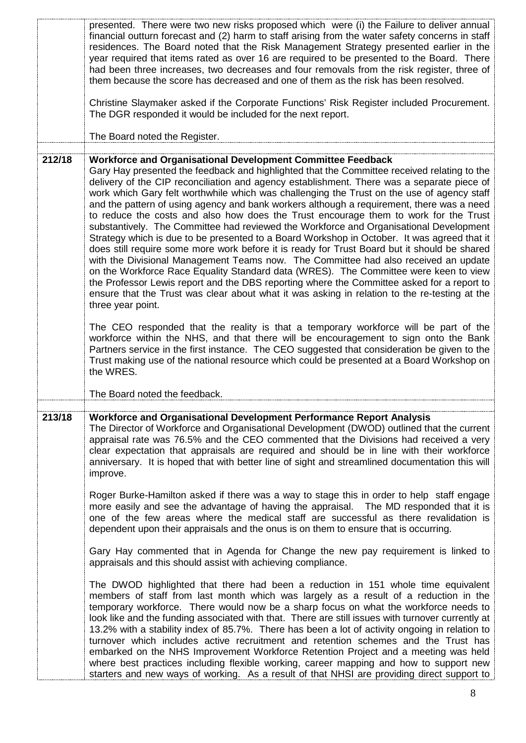|        | presented. There were two new risks proposed which were (i) the Failure to deliver annual<br>financial outturn forecast and (2) harm to staff arising from the water safety concerns in staff<br>residences. The Board noted that the Risk Management Strategy presented earlier in the<br>year required that items rated as over 16 are required to be presented to the Board. There<br>had been three increases, two decreases and four removals from the risk register, three of<br>them because the score has decreased and one of them as the risk has been resolved.<br>Christine Slaymaker asked if the Corporate Functions' Risk Register included Procurement.<br>The DGR responded it would be included for the next report.                                                                                                                                                                                                                                                                                                                                                                                                                                                                                                                                                                                          |
|--------|---------------------------------------------------------------------------------------------------------------------------------------------------------------------------------------------------------------------------------------------------------------------------------------------------------------------------------------------------------------------------------------------------------------------------------------------------------------------------------------------------------------------------------------------------------------------------------------------------------------------------------------------------------------------------------------------------------------------------------------------------------------------------------------------------------------------------------------------------------------------------------------------------------------------------------------------------------------------------------------------------------------------------------------------------------------------------------------------------------------------------------------------------------------------------------------------------------------------------------------------------------------------------------------------------------------------------------|
|        | The Board noted the Register.                                                                                                                                                                                                                                                                                                                                                                                                                                                                                                                                                                                                                                                                                                                                                                                                                                                                                                                                                                                                                                                                                                                                                                                                                                                                                                   |
| 212/18 | Workforce and Organisational Development Committee Feedback<br>Gary Hay presented the feedback and highlighted that the Committee received relating to the<br>delivery of the CIP reconciliation and agency establishment. There was a separate piece of<br>work which Gary felt worthwhile which was challenging the Trust on the use of agency staff<br>and the pattern of using agency and bank workers although a requirement, there was a need<br>to reduce the costs and also how does the Trust encourage them to work for the Trust<br>substantively. The Committee had reviewed the Workforce and Organisational Development<br>Strategy which is due to be presented to a Board Workshop in October. It was agreed that it<br>does still require some more work before it is ready for Trust Board but it should be shared<br>with the Divisional Management Teams now. The Committee had also received an update<br>on the Workforce Race Equality Standard data (WRES). The Committee were keen to view<br>the Professor Lewis report and the DBS reporting where the Committee asked for a report to<br>ensure that the Trust was clear about what it was asking in relation to the re-testing at the<br>three year point.<br>The CEO responded that the reality is that a temporary workforce will be part of the |
|        | workforce within the NHS, and that there will be encouragement to sign onto the Bank<br>Partners service in the first instance. The CEO suggested that consideration be given to the<br>Trust making use of the national resource which could be presented at a Board Workshop on<br>the WRES.<br>The Board noted the feedback.                                                                                                                                                                                                                                                                                                                                                                                                                                                                                                                                                                                                                                                                                                                                                                                                                                                                                                                                                                                                 |
| 213/18 | Workforce and Organisational Development Performance Report Analysis<br>The Director of Workforce and Organisational Development (DWOD) outlined that the current<br>appraisal rate was 76.5% and the CEO commented that the Divisions had received a very<br>clear expectation that appraisals are required and should be in line with their workforce<br>anniversary. It is hoped that with better line of sight and streamlined documentation this will<br>improve.                                                                                                                                                                                                                                                                                                                                                                                                                                                                                                                                                                                                                                                                                                                                                                                                                                                          |
|        | Roger Burke-Hamilton asked if there was a way to stage this in order to help staff engage<br>more easily and see the advantage of having the appraisal. The MD responded that it is<br>one of the few areas where the medical staff are successful as there revalidation is<br>dependent upon their appraisals and the onus is on them to ensure that is occurring.                                                                                                                                                                                                                                                                                                                                                                                                                                                                                                                                                                                                                                                                                                                                                                                                                                                                                                                                                             |
|        | Gary Hay commented that in Agenda for Change the new pay requirement is linked to<br>appraisals and this should assist with achieving compliance.                                                                                                                                                                                                                                                                                                                                                                                                                                                                                                                                                                                                                                                                                                                                                                                                                                                                                                                                                                                                                                                                                                                                                                               |
|        | The DWOD highlighted that there had been a reduction in 151 whole time equivalent<br>members of staff from last month which was largely as a result of a reduction in the<br>temporary workforce. There would now be a sharp focus on what the workforce needs to<br>look like and the funding associated with that. There are still issues with turnover currently at<br>13.2% with a stability index of 85.7%. There has been a lot of activity ongoing in relation to<br>turnover which includes active recruitment and retention schemes and the Trust has<br>embarked on the NHS Improvement Workforce Retention Project and a meeting was held<br>where best practices including flexible working, career mapping and how to support new<br>starters and new ways of working. As a result of that NHSI are providing direct support to                                                                                                                                                                                                                                                                                                                                                                                                                                                                                    |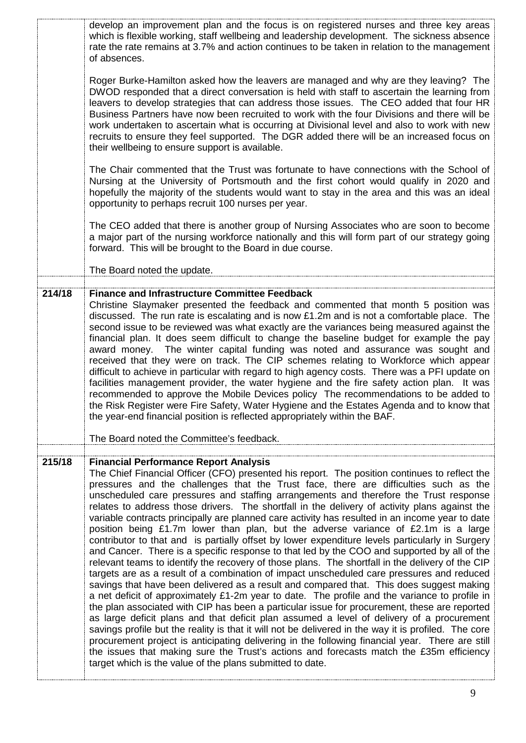| which is flexible working, staff wellbeing and leadership development. The sickness absence<br>rate the rate remains at 3.7% and action continues to be taken in relation to the management<br>of absences.                                                                                                                                                                                                                                                                                                                                                                                                                                                                                                                                                                                                                                                                                                                                                                                                                                                                                                                                                                                                                                                                                                                                                                                                                                                                                                                                                                                                                                                                                                                                                                              |
|------------------------------------------------------------------------------------------------------------------------------------------------------------------------------------------------------------------------------------------------------------------------------------------------------------------------------------------------------------------------------------------------------------------------------------------------------------------------------------------------------------------------------------------------------------------------------------------------------------------------------------------------------------------------------------------------------------------------------------------------------------------------------------------------------------------------------------------------------------------------------------------------------------------------------------------------------------------------------------------------------------------------------------------------------------------------------------------------------------------------------------------------------------------------------------------------------------------------------------------------------------------------------------------------------------------------------------------------------------------------------------------------------------------------------------------------------------------------------------------------------------------------------------------------------------------------------------------------------------------------------------------------------------------------------------------------------------------------------------------------------------------------------------------|
| Roger Burke-Hamilton asked how the leavers are managed and why are they leaving? The<br>DWOD responded that a direct conversation is held with staff to ascertain the learning from<br>leavers to develop strategies that can address those issues. The CEO added that four HR<br>Business Partners have now been recruited to work with the four Divisions and there will be<br>work undertaken to ascertain what is occurring at Divisional level and also to work with new<br>recruits to ensure they feel supported. The DGR added there will be an increased focus on<br>their wellbeing to ensure support is available.                                                                                                                                                                                                                                                                                                                                                                                                                                                                                                                                                                                                                                                                                                                                                                                                                                                                                                                                                                                                                                                                                                                                                            |
| The Chair commented that the Trust was fortunate to have connections with the School of<br>Nursing at the University of Portsmouth and the first cohort would qualify in 2020 and<br>hopefully the majority of the students would want to stay in the area and this was an ideal<br>opportunity to perhaps recruit 100 nurses per year.                                                                                                                                                                                                                                                                                                                                                                                                                                                                                                                                                                                                                                                                                                                                                                                                                                                                                                                                                                                                                                                                                                                                                                                                                                                                                                                                                                                                                                                  |
| The CEO added that there is another group of Nursing Associates who are soon to become<br>a major part of the nursing workforce nationally and this will form part of our strategy going<br>forward. This will be brought to the Board in due course.                                                                                                                                                                                                                                                                                                                                                                                                                                                                                                                                                                                                                                                                                                                                                                                                                                                                                                                                                                                                                                                                                                                                                                                                                                                                                                                                                                                                                                                                                                                                    |
| The Board noted the update.                                                                                                                                                                                                                                                                                                                                                                                                                                                                                                                                                                                                                                                                                                                                                                                                                                                                                                                                                                                                                                                                                                                                                                                                                                                                                                                                                                                                                                                                                                                                                                                                                                                                                                                                                              |
| <b>Finance and Infrastructure Committee Feedback</b>                                                                                                                                                                                                                                                                                                                                                                                                                                                                                                                                                                                                                                                                                                                                                                                                                                                                                                                                                                                                                                                                                                                                                                                                                                                                                                                                                                                                                                                                                                                                                                                                                                                                                                                                     |
| Christine Slaymaker presented the feedback and commented that month 5 position was<br>discussed. The run rate is escalating and is now £1.2m and is not a comfortable place. The<br>second issue to be reviewed was what exactly are the variances being measured against the<br>financial plan. It does seem difficult to change the baseline budget for example the pay<br>award money. The winter capital funding was noted and assurance was sought and<br>received that they were on track. The CIP schemes relating to Workforce which appear<br>difficult to achieve in particular with regard to high agency costs. There was a PFI update on<br>facilities management provider, the water hygiene and the fire safety action plan. It was<br>recommended to approve the Mobile Devices policy The recommendations to be added to<br>the Risk Register were Fire Safety, Water Hygiene and the Estates Agenda and to know that<br>the year-end financial position is reflected appropriately within the BAF.                                                                                                                                                                                                                                                                                                                                                                                                                                                                                                                                                                                                                                                                                                                                                                     |
| The Board noted the Committee's feedback.                                                                                                                                                                                                                                                                                                                                                                                                                                                                                                                                                                                                                                                                                                                                                                                                                                                                                                                                                                                                                                                                                                                                                                                                                                                                                                                                                                                                                                                                                                                                                                                                                                                                                                                                                |
| <b>Financial Performance Report Analysis</b><br>The Chief Financial Officer (CFO) presented his report. The position continues to reflect the<br>pressures and the challenges that the Trust face, there are difficulties such as the<br>unscheduled care pressures and staffing arrangements and therefore the Trust response<br>relates to address those drivers. The shortfall in the delivery of activity plans against the<br>variable contracts principally are planned care activity has resulted in an income year to date<br>position being £1.7m lower than plan, but the adverse variance of £2.1m is a large<br>contributor to that and is partially offset by lower expenditure levels particularly in Surgery<br>and Cancer. There is a specific response to that led by the COO and supported by all of the<br>relevant teams to identify the recovery of those plans. The shortfall in the delivery of the CIP<br>targets are as a result of a combination of impact unscheduled care pressures and reduced<br>savings that have been delivered as a result and compared that. This does suggest making<br>a net deficit of approximately £1-2m year to date. The profile and the variance to profile in<br>the plan associated with CIP has been a particular issue for procurement, these are reported<br>as large deficit plans and that deficit plan assumed a level of delivery of a procurement<br>savings profile but the reality is that it will not be delivered in the way it is profiled. The core<br>procurement project is anticipating delivering in the following financial year. There are still<br>the issues that making sure the Trust's actions and forecasts match the £35m efficiency<br>target which is the value of the plans submitted to date. |
|                                                                                                                                                                                                                                                                                                                                                                                                                                                                                                                                                                                                                                                                                                                                                                                                                                                                                                                                                                                                                                                                                                                                                                                                                                                                                                                                                                                                                                                                                                                                                                                                                                                                                                                                                                                          |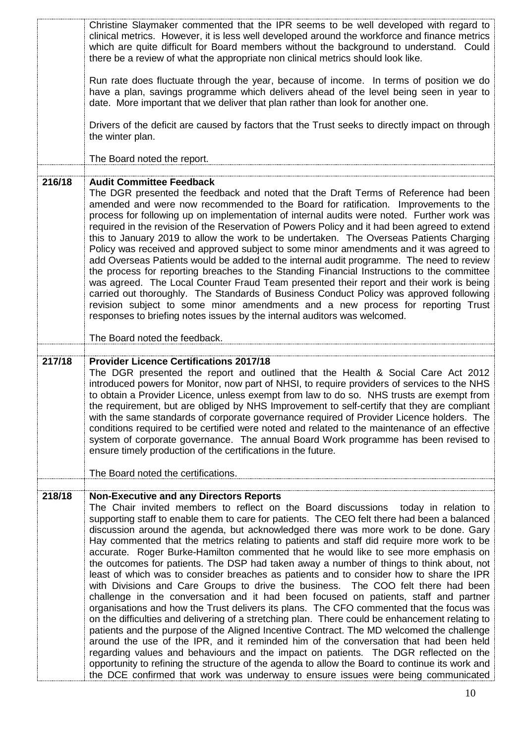|        | Christine Slaymaker commented that the IPR seems to be well developed with regard to<br>clinical metrics. However, it is less well developed around the workforce and finance metrics<br>which are quite difficult for Board members without the background to understand. Could<br>there be a review of what the appropriate non clinical metrics should look like.                                                                                                                                                                                                                                                                                                                                                                                                                                                                                                                                                                                                                                                                                                                                                                                                                                                                                                                                                                                              |
|--------|-------------------------------------------------------------------------------------------------------------------------------------------------------------------------------------------------------------------------------------------------------------------------------------------------------------------------------------------------------------------------------------------------------------------------------------------------------------------------------------------------------------------------------------------------------------------------------------------------------------------------------------------------------------------------------------------------------------------------------------------------------------------------------------------------------------------------------------------------------------------------------------------------------------------------------------------------------------------------------------------------------------------------------------------------------------------------------------------------------------------------------------------------------------------------------------------------------------------------------------------------------------------------------------------------------------------------------------------------------------------|
|        | Run rate does fluctuate through the year, because of income. In terms of position we do<br>have a plan, savings programme which delivers ahead of the level being seen in year to<br>date. More important that we deliver that plan rather than look for another one.                                                                                                                                                                                                                                                                                                                                                                                                                                                                                                                                                                                                                                                                                                                                                                                                                                                                                                                                                                                                                                                                                             |
|        | Drivers of the deficit are caused by factors that the Trust seeks to directly impact on through<br>the winter plan.                                                                                                                                                                                                                                                                                                                                                                                                                                                                                                                                                                                                                                                                                                                                                                                                                                                                                                                                                                                                                                                                                                                                                                                                                                               |
|        | The Board noted the report.                                                                                                                                                                                                                                                                                                                                                                                                                                                                                                                                                                                                                                                                                                                                                                                                                                                                                                                                                                                                                                                                                                                                                                                                                                                                                                                                       |
| 216/18 | <b>Audit Committee Feedback</b><br>The DGR presented the feedback and noted that the Draft Terms of Reference had been<br>amended and were now recommended to the Board for ratification. Improvements to the<br>process for following up on implementation of internal audits were noted. Further work was<br>required in the revision of the Reservation of Powers Policy and it had been agreed to extend<br>this to January 2019 to allow the work to be undertaken. The Overseas Patients Charging<br>Policy was received and approved subject to some minor amendments and it was agreed to<br>add Overseas Patients would be added to the internal audit programme. The need to review<br>the process for reporting breaches to the Standing Financial Instructions to the committee<br>was agreed. The Local Counter Fraud Team presented their report and their work is being<br>carried out thoroughly. The Standards of Business Conduct Policy was approved following<br>revision subject to some minor amendments and a new process for reporting Trust<br>responses to briefing notes issues by the internal auditors was welcomed.<br>The Board noted the feedback.                                                                                                                                                                                |
|        |                                                                                                                                                                                                                                                                                                                                                                                                                                                                                                                                                                                                                                                                                                                                                                                                                                                                                                                                                                                                                                                                                                                                                                                                                                                                                                                                                                   |
| 217/18 | <b>Provider Licence Certifications 2017/18</b><br>The DGR presented the report and outlined that the Health & Social Care Act 2012<br>introduced powers for Monitor, now part of NHSI, to require providers of services to the NHS<br>to obtain a Provider Licence, unless exempt from law to do so. NHS trusts are exempt from<br>the requirement, but are obliged by NHS Improvement to self-certify that they are compliant<br>with the same standards of corporate governance required of Provider Licence holders. The<br>conditions required to be certified were noted and related to the maintenance of an effective<br>system of corporate governance. The annual Board Work programme has been revised to<br>ensure timely production of the certifications in the future.                                                                                                                                                                                                                                                                                                                                                                                                                                                                                                                                                                              |
|        | The Board noted the certifications.                                                                                                                                                                                                                                                                                                                                                                                                                                                                                                                                                                                                                                                                                                                                                                                                                                                                                                                                                                                                                                                                                                                                                                                                                                                                                                                               |
| 218/18 | <b>Non-Executive and any Directors Reports</b><br>The Chair invited members to reflect on the Board discussions today in relation to<br>supporting staff to enable them to care for patients. The CEO felt there had been a balanced<br>discussion around the agenda, but acknowledged there was more work to be done. Gary<br>Hay commented that the metrics relating to patients and staff did require more work to be<br>accurate. Roger Burke-Hamilton commented that he would like to see more emphasis on<br>the outcomes for patients. The DSP had taken away a number of things to think about, not<br>least of which was to consider breaches as patients and to consider how to share the IPR<br>with Divisions and Care Groups to drive the business. The COO felt there had been<br>challenge in the conversation and it had been focused on patients, staff and partner<br>organisations and how the Trust delivers its plans. The CFO commented that the focus was<br>on the difficulties and delivering of a stretching plan. There could be enhancement relating to<br>patients and the purpose of the Aligned Incentive Contract. The MD welcomed the challenge<br>around the use of the IPR, and it reminded him of the conversation that had been held<br>regarding values and behaviours and the impact on patients. The DGR reflected on the |